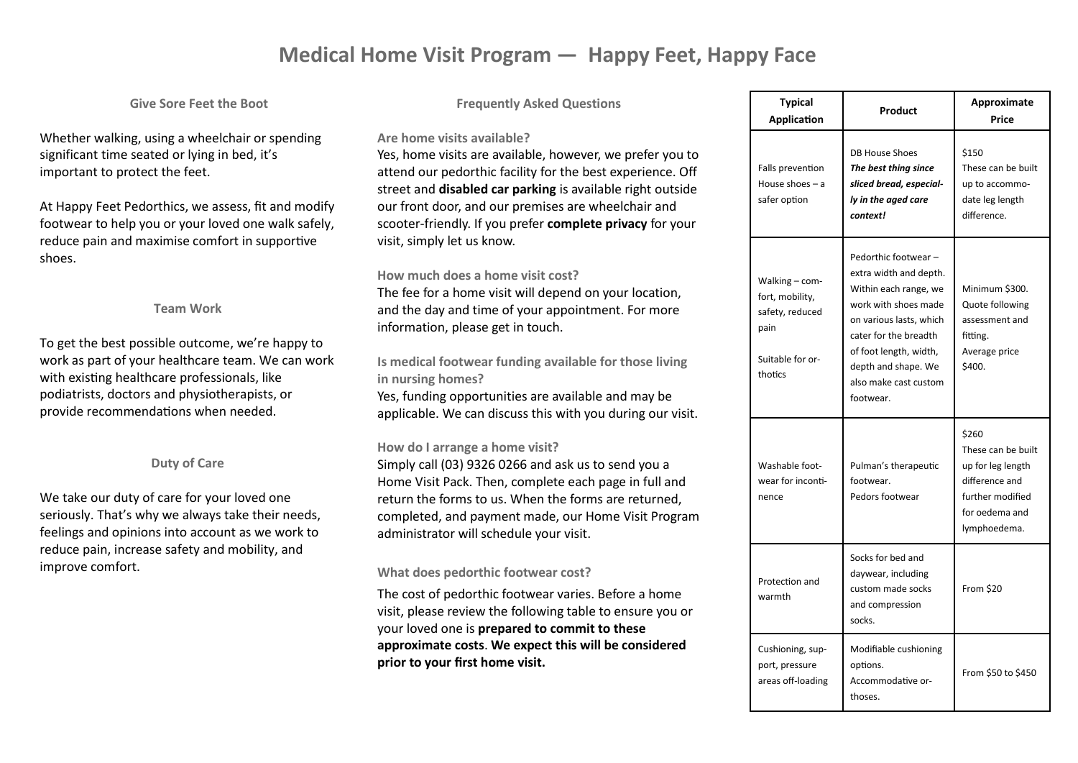# **Medical Home Visit Program — Happy Feet, Happy Face**

## **Give Sore Feet the Boot**

Whether walking, using a wheelchair or spending significant time seated or lying in bed, it's important to protect the feet.

At Happy Feet Pedorthics, we assess, fit and modify footwear to help you or your loved one walk safely, reduce pain and maximise comfort in supportive shoes.

#### **Team Work**

To get the best possible outcome, we're happy to work as part of your healthcare team. We can work with existing healthcare professionals, like podiatrists, doctors and physiotherapists, or provide recommendations when needed.

### **Duty of Care**

We take our duty of care for your loved one seriously. That's why we always take their needs, feelings and opinions into account as we work to reduce pain, increase safety and mobility, and improve comfort.

#### **Frequently Asked Questions**

#### **Are home visits available?**

Yes, home visits are available, however, we prefer you to attend our pedorthic facility for the best experience. Off street and **disabled car parking** is available right outside our front door, and our premises are wheelchair and scooter-friendly. If you prefer **complete privacy** for your visit, simply let us know.

#### **How much does a home visit cost?**

The fee for a home visit will depend on your location, and the day and time of your appointment. For more information, please get in touch.

**Is medical footwear funding available for those living in nursing homes?**

Yes, funding opportunities are available and may be applicable. We can discuss this with you during our visit.

#### **How do I arrange a home visit?**

Simply call (03) 9326 0266 and ask us to send you a Home Visit Pack. Then, complete each page in full and return the forms to us. When the forms are returned, completed, and payment made, our Home Visit Program administrator will schedule your visit.

#### **What does pedorthic footwear cost?**

The cost of pedorthic footwear varies. Before a home visit, please review the following table to ensure you or your loved one is **prepared to commit to these approximate costs**. **We expect this will be considered prior to your first home visit.**

| Typical<br><b>Application</b>                                                               | Product                                                                                                                                                                                                                                    | Approximate<br>Price                                                                                                     |
|---------------------------------------------------------------------------------------------|--------------------------------------------------------------------------------------------------------------------------------------------------------------------------------------------------------------------------------------------|--------------------------------------------------------------------------------------------------------------------------|
| Falls prevention<br>House shoes $-$ a<br>safer option                                       | <b>DB House Shoes</b><br>The best thing since<br>sliced bread, especial-<br>ly in the aged care<br>context!                                                                                                                                | \$150<br>These can be built<br>up to accommo-<br>date leg length<br>difference.                                          |
| Walking - com-<br>fort, mobility,<br>safety, reduced<br>pain<br>Suitable for or-<br>thotics | Pedorthic footwear -<br>extra width and depth.<br>Within each range, we<br>work with shoes made<br>on various lasts, which<br>cater for the breadth<br>of foot length, width,<br>depth and shape. We<br>also make cast custom<br>footwear. | Minimum \$300.<br>Quote following<br>assessment and<br>fitting.<br>Average price<br>\$400.                               |
| Washable foot-<br>wear for inconti-<br>nence                                                | Pulman's therapeutic<br>footwear.<br>Pedors footwear                                                                                                                                                                                       | \$260<br>These can be built<br>up for leg length<br>difference and<br>further modified<br>for oedema and<br>lymphoedema. |
| Protection and<br>warmth                                                                    | Socks for bed and<br>daywear, including<br>custom made socks<br>and compression<br>socks.                                                                                                                                                  | From \$20                                                                                                                |
| Cushioning, sup-<br>port, pressure<br>areas off-loading                                     | Modifiable cushioning<br>options.<br>Accommodative or-<br>thoses.                                                                                                                                                                          | From \$50 to \$450                                                                                                       |